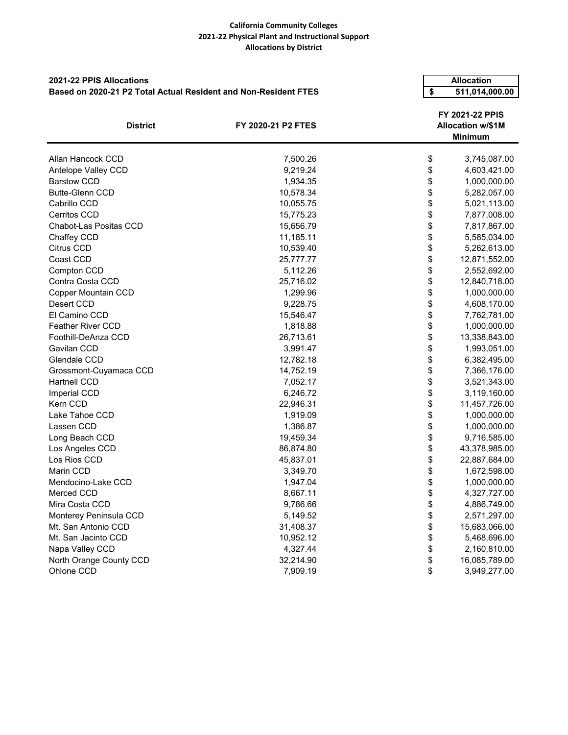## **California Community Colleges 2021-22 Physical Plant and Instructional Support Allocations by District**

| <b>2021-22 PPIS Allocations</b>                                 |                           | <b>Allocation</b>                                                   |                |  |
|-----------------------------------------------------------------|---------------------------|---------------------------------------------------------------------|----------------|--|
| Based on 2020-21 P2 Total Actual Resident and Non-Resident FTES |                           |                                                                     | 511,014,000.00 |  |
| <b>District</b>                                                 | <b>FY 2020-21 P2 FTES</b> | \$<br>FY 2021-22 PPIS<br><b>Allocation w/\$1M</b><br><b>Minimum</b> |                |  |
| Allan Hancock CCD                                               | 7,500.26                  | \$                                                                  | 3,745,087.00   |  |
| Antelope Valley CCD                                             | 9,219.24                  | \$                                                                  | 4,603,421.00   |  |
| <b>Barstow CCD</b>                                              | 1,934.35                  | \$                                                                  | 1,000,000.00   |  |
| <b>Butte-Glenn CCD</b>                                          | 10,578.34                 | \$                                                                  | 5,282,057.00   |  |
| Cabrillo CCD                                                    | 10,055.75                 | \$                                                                  | 5,021,113.00   |  |
| <b>Cerritos CCD</b>                                             | 15,775.23                 | \$                                                                  | 7,877,008.00   |  |
| Chabot-Las Positas CCD                                          | 15,656.79                 | \$                                                                  | 7,817,867.00   |  |
| Chaffey CCD                                                     | 11,185.11                 | \$                                                                  | 5,585,034.00   |  |
| Citrus CCD                                                      | 10,539.40                 | \$                                                                  | 5,262,613.00   |  |
| Coast CCD                                                       | 25,777.77                 | \$                                                                  | 12,871,552.00  |  |
| Compton CCD                                                     | 5,112.26                  | \$                                                                  | 2,552,692.00   |  |
| Contra Costa CCD                                                | 25,716.02                 | \$                                                                  | 12,840,718.00  |  |
| Copper Mountain CCD                                             | 1,299.96                  | \$                                                                  | 1,000,000.00   |  |
| Desert CCD                                                      | 9,228.75                  | \$                                                                  | 4,608,170.00   |  |
| El Camino CCD                                                   | 15,546.47                 | \$                                                                  | 7,762,781.00   |  |
| <b>Feather River CCD</b>                                        | 1,818.88                  | \$                                                                  | 1,000,000.00   |  |
| Foothill-DeAnza CCD                                             | 26,713.61                 | \$                                                                  | 13,338,843.00  |  |
| Gavilan CCD                                                     | 3,991.47                  | \$                                                                  | 1,993,051.00   |  |
| Glendale CCD                                                    | 12,782.18                 | \$                                                                  | 6,382,495.00   |  |
| Grossmont-Cuyamaca CCD                                          | 14,752.19                 | \$                                                                  | 7,366,176.00   |  |
| Hartnell CCD                                                    | 7,052.17                  | \$                                                                  | 3,521,343.00   |  |
| Imperial CCD                                                    | 6,246.72                  | \$                                                                  | 3,119,160.00   |  |
| Kern CCD                                                        | 22,946.31                 | \$                                                                  | 11,457,726.00  |  |
| Lake Tahoe CCD                                                  | 1,919.09                  | \$                                                                  | 1,000,000.00   |  |
| Lassen CCD                                                      | 1,386.87                  | \$                                                                  | 1,000,000.00   |  |
| Long Beach CCD                                                  | 19,459.34                 | \$                                                                  | 9,716,585.00   |  |
| Los Angeles CCD                                                 | 86,874.80                 | \$                                                                  | 43,378,985.00  |  |
| Los Rios CCD                                                    | 45,837.01                 | \$                                                                  | 22,887,684.00  |  |
| Marin CCD                                                       | 3,349.70                  | \$                                                                  | 1,672,598.00   |  |
| Mendocino-Lake CCD                                              | 1,947.04                  | \$                                                                  | 1,000,000.00   |  |
| Merced CCD                                                      | 8,667.11                  | \$                                                                  | 4,327,727.00   |  |
| Mira Costa CCD                                                  | 9,786.66                  | \$                                                                  | 4,886,749.00   |  |
| Monterey Peninsula CCD                                          | 5,149.52                  | \$                                                                  | 2,571,297.00   |  |
| Mt. San Antonio CCD                                             | 31,408.37                 | \$                                                                  | 15,683,066.00  |  |
| Mt. San Jacinto CCD                                             | 10,952.12                 | \$                                                                  | 5,468,696.00   |  |
| Napa Valley CCD                                                 | 4,327.44                  | \$                                                                  | 2,160,810.00   |  |
| North Orange County CCD                                         | 32,214.90                 | \$                                                                  | 16,085,789.00  |  |
| Ohlone CCD                                                      | 7,909.19                  | \$                                                                  | 3,949,277.00   |  |